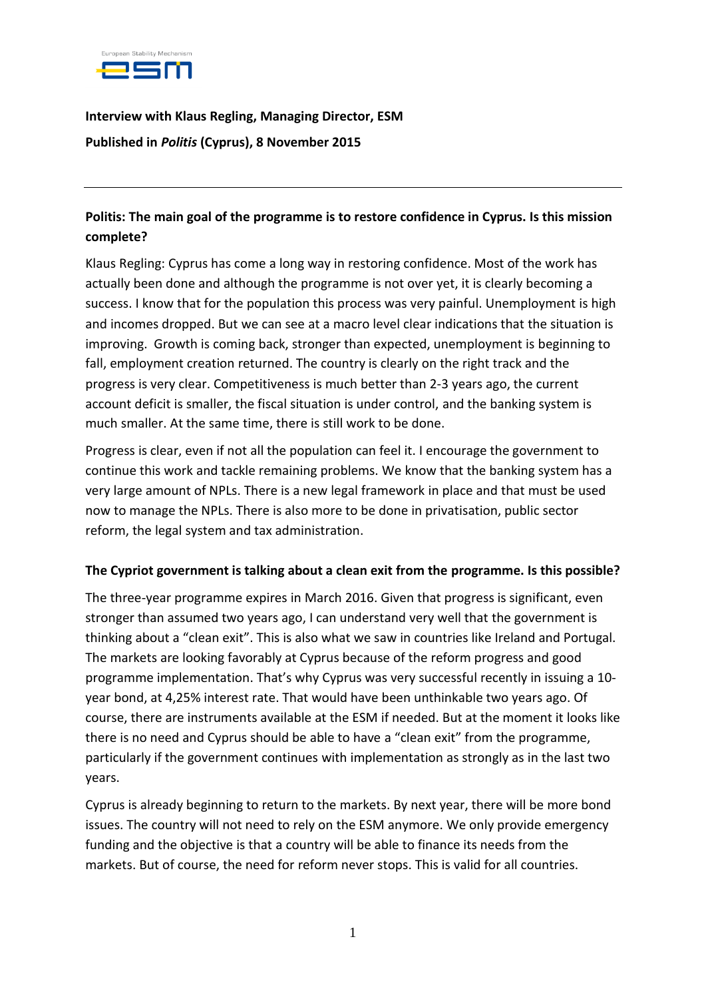

**Interview with Klaus Regling, Managing Director, ESM Published in** *Politis* **(Cyprus), 8 November 2015**

#### **Politis: The main goal of the programme is to restore confidence in Cyprus. Is this mission complete?**

Klaus Regling: Cyprus has come a long way in restoring confidence. Most of the work has actually been done and although the programme is not over yet, it is clearly becoming a success. I know that for the population this process was very painful. Unemployment is high and incomes dropped. But we can see at a macro level clear indications that the situation is improving. Growth is coming back, stronger than expected, unemployment is beginning to fall, employment creation returned. The country is clearly on the right track and the progress is very clear. Competitiveness is much better than 2-3 years ago, the current account deficit is smaller, the fiscal situation is under control, and the banking system is much smaller. At the same time, there is still work to be done.

Progress is clear, even if not all the population can feel it. I encourage the government to continue this work and tackle remaining problems. We know that the banking system has a very large amount of NPLs. There is a new legal framework in place and that must be used now to manage the NPLs. There is also more to be done in privatisation, public sector reform, the legal system and tax administration.

#### **The Cypriot government is talking about a clean exit from the programme. Is this possible?**

The three-year programme expires in March 2016. Given that progress is significant, even stronger than assumed two years ago, I can understand very well that the government is thinking about a "clean exit". This is also what we saw in countries like Ireland and Portugal. The markets are looking favorably at Cyprus because of the reform progress and good programme implementation. That's why Cyprus was very successful recently in issuing a 10 year bond, at 4,25% interest rate. That would have been unthinkable two years ago. Of course, there are instruments available at the ESM if needed. But at the moment it looks like there is no need and Cyprus should be able to have a "clean exit" from the programme, particularly if the government continues with implementation as strongly as in the last two years.

Cyprus is already beginning to return to the markets. By next year, there will be more bond issues. The country will not need to rely on the ESM anymore. We only provide emergency funding and the objective is that a country will be able to finance its needs from the markets. But of course, the need for reform never stops. This is valid for all countries.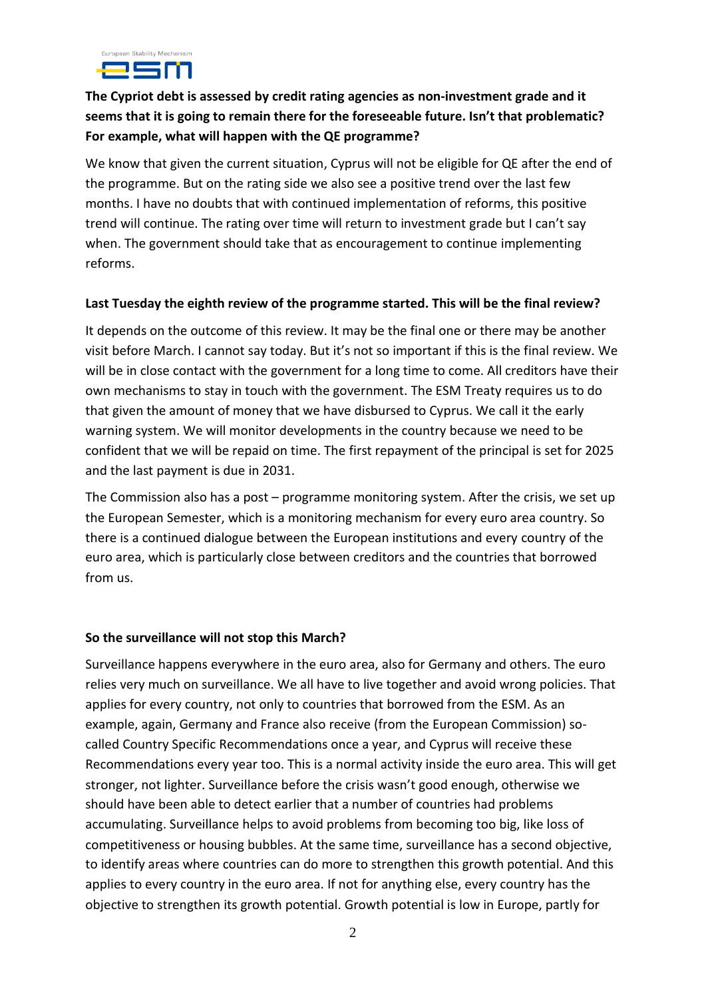

## **The Cypriot debt is assessed by credit rating agencies as non-investment grade and it seems that it is going to remain there for the foreseeable future. Isn't that problematic? For example, what will happen with the QE programme?**

We know that given the current situation, Cyprus will not be eligible for QE after the end of the programme. But on the rating side we also see a positive trend over the last few months. I have no doubts that with continued implementation of reforms, this positive trend will continue. The rating over time will return to investment grade but I can't say when. The government should take that as encouragement to continue implementing reforms.

#### **Last Tuesday the eighth review of the programme started. This will be the final review?**

It depends on the outcome of this review. It may be the final one or there may be another visit before March. I cannot say today. But it's not so important if this is the final review. We will be in close contact with the government for a long time to come. All creditors have their own mechanisms to stay in touch with the government. The ESM Treaty requires us to do that given the amount of money that we have disbursed to Cyprus. We call it the early warning system. We will monitor developments in the country because we need to be confident that we will be repaid on time. The first repayment of the principal is set for 2025 and the last payment is due in 2031.

The Commission also has a post – programme monitoring system. After the crisis, we set up the European Semester, which is a monitoring mechanism for every euro area country. So there is a continued dialogue between the European institutions and every country of the euro area, which is particularly close between creditors and the countries that borrowed from us.

#### **So the surveillance will not stop this March?**

Surveillance happens everywhere in the euro area, also for Germany and others. The euro relies very much on surveillance. We all have to live together and avoid wrong policies. That applies for every country, not only to countries that borrowed from the ESM. As an example, again, Germany and France also receive (from the European Commission) socalled Country Specific Recommendations once a year, and Cyprus will receive these Recommendations every year too. This is a normal activity inside the euro area. This will get stronger, not lighter. Surveillance before the crisis wasn't good enough, otherwise we should have been able to detect earlier that a number of countries had problems accumulating. Surveillance helps to avoid problems from becoming too big, like loss of competitiveness or housing bubbles. At the same time, surveillance has a second objective, to identify areas where countries can do more to strengthen this growth potential. And this applies to every country in the euro area. If not for anything else, every country has the objective to strengthen its growth potential. Growth potential is low in Europe, partly for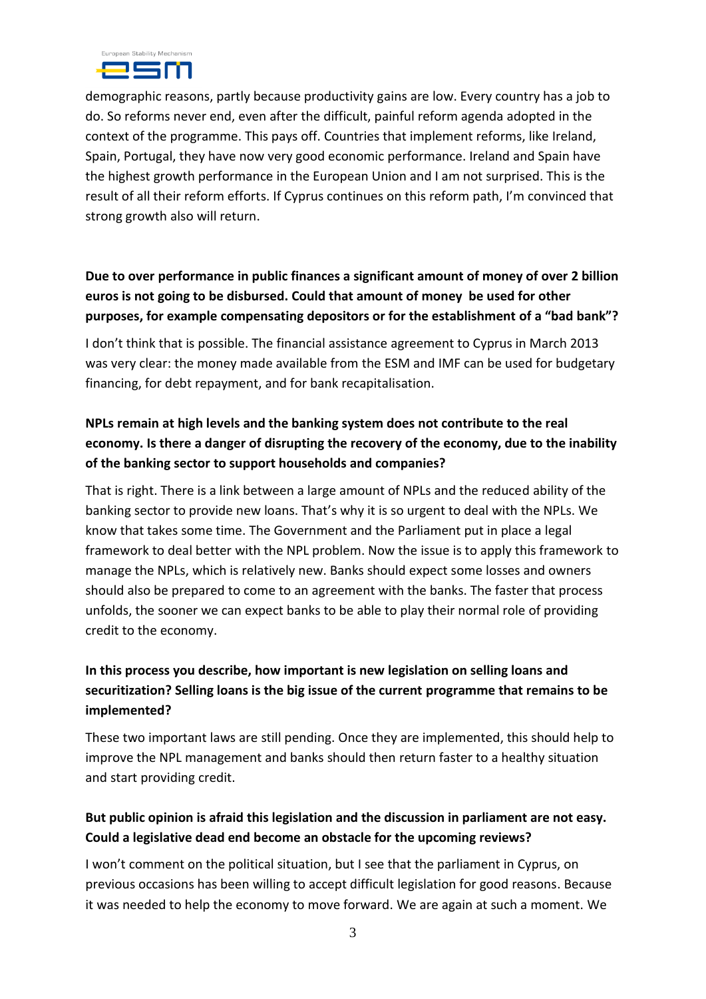

demographic reasons, partly because productivity gains are low. Every country has a job to do. So reforms never end, even after the difficult, painful reform agenda adopted in the context of the programme. This pays off. Countries that implement reforms, like Ireland, Spain, Portugal, they have now very good economic performance. Ireland and Spain have the highest growth performance in the European Union and I am not surprised. This is the result of all their reform efforts. If Cyprus continues on this reform path, I'm convinced that strong growth also will return.

## **Due to over performance in public finances a significant amount of money of over 2 billion euros is not going to be disbursed. Could that amount of money be used for other purposes, for example compensating depositors or for the establishment of a "bad bank"?**

I don't think that is possible. The financial assistance agreement to Cyprus in March 2013 was very clear: the money made available from the ESM and IMF can be used for budgetary financing, for debt repayment, and for bank recapitalisation.

## **NPLs remain at high levels and the banking system does not contribute to the real economy. Is there a danger of disrupting the recovery of the economy, due to the inability of the banking sector to support households and companies?**

That is right. There is a link between a large amount of NPLs and the reduced ability of the banking sector to provide new loans. That's why it is so urgent to deal with the NPLs. We know that takes some time. The Government and the Parliament put in place a legal framework to deal better with the NPL problem. Now the issue is to apply this framework to manage the NPLs, which is relatively new. Banks should expect some losses and owners should also be prepared to come to an agreement with the banks. The faster that process unfolds, the sooner we can expect banks to be able to play their normal role of providing credit to the economy.

## **In this process you describe, how important is new legislation on selling loans and securitization? Selling loans is the big issue of the current programme that remains to be implemented?**

These two important laws are still pending. Once they are implemented, this should help to improve the NPL management and banks should then return faster to a healthy situation and start providing credit.

## **But public opinion is afraid this legislation and the discussion in parliament are not easy. Could a legislative dead end become an obstacle for the upcoming reviews?**

I won't comment on the political situation, but I see that the parliament in Cyprus, on previous occasions has been willing to accept difficult legislation for good reasons. Because it was needed to help the economy to move forward. We are again at such a moment. We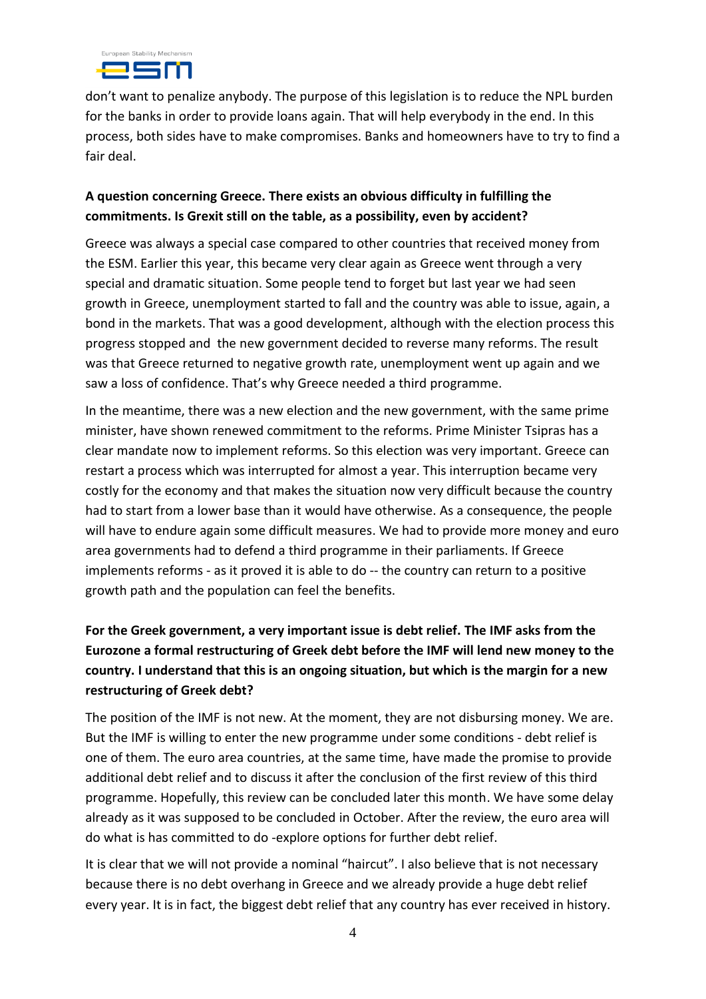

don't want to penalize anybody. The purpose of this legislation is to reduce the NPL burden for the banks in order to provide loans again. That will help everybody in the end. In this process, both sides have to make compromises. Banks and homeowners have to try to find a fair deal.

#### **A question concerning Greece. There exists an obvious difficulty in fulfilling the commitments. Is Grexit still on the table, as a possibility, even by accident?**

Greece was always a special case compared to other countries that received money from the ESM. Earlier this year, this became very clear again as Greece went through a very special and dramatic situation. Some people tend to forget but last year we had seen growth in Greece, unemployment started to fall and the country was able to issue, again, a bond in the markets. That was a good development, although with the election process this progress stopped and the new government decided to reverse many reforms. The result was that Greece returned to negative growth rate, unemployment went up again and we saw a loss of confidence. That's why Greece needed a third programme.

In the meantime, there was a new election and the new government, with the same prime minister, have shown renewed commitment to the reforms. Prime Minister Tsipras has a clear mandate now to implement reforms. So this election was very important. Greece can restart a process which was interrupted for almost a year. This interruption became very costly for the economy and that makes the situation now very difficult because the country had to start from a lower base than it would have otherwise. As a consequence, the people will have to endure again some difficult measures. We had to provide more money and euro area governments had to defend a third programme in their parliaments. If Greece implements reforms - as it proved it is able to do -- the country can return to a positive growth path and the population can feel the benefits.

# **For the Greek government, a very important issue is debt relief. The IMF asks from the Eurozone a formal restructuring of Greek debt before the IMF will lend new money to the country. I understand that this is an ongoing situation, but which is the margin for a new restructuring of Greek debt?**

The position of the IMF is not new. At the moment, they are not disbursing money. We are. But the IMF is willing to enter the new programme under some conditions - debt relief is one of them. The euro area countries, at the same time, have made the promise to provide additional debt relief and to discuss it after the conclusion of the first review of this third programme. Hopefully, this review can be concluded later this month. We have some delay already as it was supposed to be concluded in October. After the review, the euro area will do what is has committed to do -explore options for further debt relief.

It is clear that we will not provide a nominal "haircut". I also believe that is not necessary because there is no debt overhang in Greece and we already provide a huge debt relief every year. It is in fact, the biggest debt relief that any country has ever received in history.